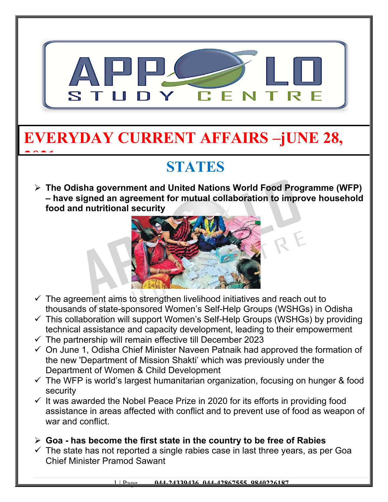

# **EVERYDAY CURRENT AFFAIRS –jUNE 28,**

## **STATES**

 **The Odisha government and United Nations World Food Programme (WFP) – have signed an agreement for mutual collaboration to improve household food and nutritional security**



- $\checkmark$  The agreement aims to strengthen livelihood initiatives and reach out to thousands of state-sponsored Women's Self-Help Groups (WSHGs) in Odisha
- $\checkmark$  This collaboration will support Women's Self-Help Groups (WSHGs) by providing technical assistance and capacity development, leading to their empowerment
- $\checkmark$  The partnership will remain effective till December 2023

**2021**

- $\checkmark$  On June 1, Odisha Chief Minister Naveen Patnaik had approved the formation of the new 'Department of Mission Shakti' which was previously under the Department of Women & Child Development
- $\checkmark$  The WFP is world's largest humanitarian organization, focusing on hunger & food security
- $\checkmark$  It was awarded the Nobel Peace Prize in 2020 for its efforts in providing food assistance in areas affected with conflict and to prevent use of food as weapon of war and conflict.
- **Goa has become the first state in the country to be free of Rabies**
- $\checkmark$  The state has not reported a single rabies case in last three years, as per Goa Chief Minister Pramod Sawant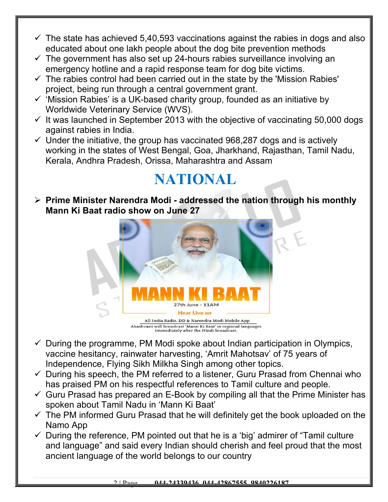- $\checkmark$  The state has achieved 5,40,593 vaccinations against the rabies in dogs and also educated about one lakh people about the dog bite prevention methods
- $\checkmark$  The government has also set up 24-hours rabies surveillance involving an emergency hotline and a rapid response team for dog bite victims.
- $\checkmark$  The rabies control had been carried out in the state by the 'Mission Rabies' project, being run through a central government grant.
- $\checkmark$  'Mission Rabies' is a UK-based charity group, founded as an initiative by Worldwide Veterinary Service (WVS).
- $\checkmark$  It was launched in September 2013 with the objective of vaccinating 50,000 dogs against rabies in India.
- $\checkmark$  Under the initiative, the group has vaccinated 968,287 dogs and is actively working in the states of West Bengal, Goa, Jharkhand, Rajasthan, Tamil Nadu, Kerala, Andhra Pradesh, Orissa, Maharashtra and Assam

### **NATIONAL**

 **Prime Minister Narendra Modi - addressed the nation through his monthly Mann Ki Baat radio show on June 27**



Akashvani will broadcast 'Mann Ki Baat' in regional languages<br>immediately after the Hindi broadcast.

- $\checkmark$  During the programme, PM Modi spoke about Indian participation in Olympics, vaccine hesitancy, rainwater harvesting, 'Amrit Mahotsav' of 75 years of Independence, Flying Sikh Milkha Singh among other topics.
- $\checkmark$  During his speech, the PM referred to a listener, Guru Prasad from Chennai who has praised PM on his respectful references to Tamil culture and people.
- $\checkmark$  Guru Prasad has prepared an E-Book by compiling all that the Prime Minister has spoken about Tamil Nadu in 'Mann Ki Baat'
- $\checkmark$  The PM informed Guru Prasad that he will definitely get the book uploaded on the Namo App
- $\checkmark$  During the reference, PM pointed out that he is a 'big' admirer of "Tamil culture and language" and said every Indian should cherish and feel proud that the most ancient language of the world belongs to our country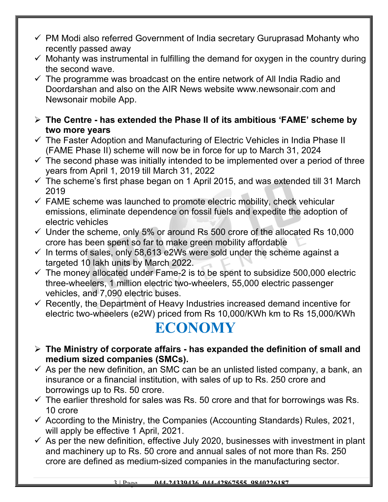- $\checkmark$  PM Modi also referred Government of India secretary Guruprasad Mohanty who recently passed away
- $\checkmark$  Mohanty was instrumental in fulfilling the demand for oxygen in the country during the second wave.
- $\checkmark$  The programme was broadcast on the entire network of All India Radio and Doordarshan and also on the AIR News website www.newsonair.com and Newsonair mobile App.
- **The Centre has extended the Phase II of its ambitious 'FAME' scheme by two more years**
- $\checkmark$  The Faster Adoption and Manufacturing of Electric Vehicles in India Phase II (FAME Phase II) scheme will now be in force for up to March 31, 2024
- $\checkmark$  The second phase was initially intended to be implemented over a period of three years from April 1, 2019 till March 31, 2022
- $\checkmark$  The scheme's first phase began on 1 April 2015, and was extended till 31 March 2019
- $\checkmark$  FAME scheme was launched to promote electric mobility, check vehicular emissions, eliminate dependence on fossil fuels and expedite the adoption of electric vehicles
- $\checkmark$  Under the scheme, only 5% or around Rs 500 crore of the allocated Rs 10,000 crore has been spent so far to make green mobility affordable
- $\checkmark$  In terms of sales, only 58,613 e2Ws were sold under the scheme against a targeted 10 lakh units by March 2022.
- $\checkmark$  The money allocated under Fame-2 is to be spent to subsidize 500,000 electric three-wheelers, 1 million electric two-wheelers, 55,000 electric passenger vehicles, and 7,090 electric buses.
- $\checkmark$  Recently, the Department of Heavy Industries increased demand incentive for electric two-wheelers (e2W) priced from Rs 10,000/KWh km to Rs 15,000/KWh

### **ECONOMY**

- **The Ministry of corporate affairs has expanded the definition of small and medium sized companies (SMCs).**
- $\checkmark$  As per the new definition, an SMC can be an unlisted listed company, a bank, an insurance or a financial institution, with sales of up to Rs. 250 crore and borrowings up to Rs. 50 crore.
- $\checkmark$  The earlier threshold for sales was Rs. 50 crore and that for borrowings was Rs. 10 crore
- $\checkmark$  According to the Ministry, the Companies (Accounting Standards) Rules, 2021, will apply be effective 1 April, 2021.
- $\checkmark$  As per the new definition, effective July 2020, businesses with investment in plant and machinery up to Rs. 50 crore and annual sales of not more than Rs. 250 crore are defined as medium-sized companies in the manufacturing sector.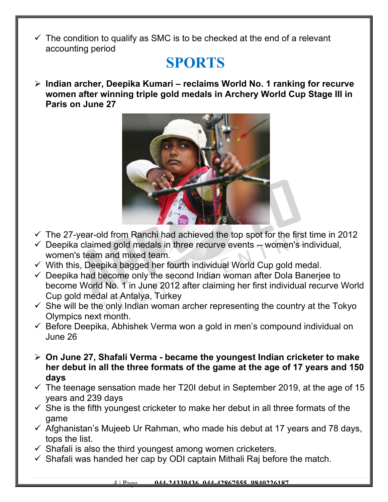$\checkmark$  The condition to qualify as SMC is to be checked at the end of a relevant accounting period

#### **SPORTS**

 **Indian archer, Deepika Kumari – reclaims World No. 1 ranking for recurve women after winning triple gold medals in Archery World Cup Stage III in Paris on June 27**



- $\checkmark$  The 27-year-old from Ranchi had achieved the top spot for the first time in 2012
- $\checkmark$  Deepika claimed gold medals in three recurve events -- women's individual, women's team and mixed team.
- $\checkmark$  With this, Deepika bagged her fourth individual World Cup gold medal.
- $\checkmark$  Deepika had become only the second Indian woman after Dola Baneriee to become World No. 1 in June 2012 after claiming her first individual recurve World Cup gold medal at Antalya, Turkey
- $\checkmark$  She will be the only Indian woman archer representing the country at the Tokyo Olympics next month.
- $\checkmark$  Before Deepika, Abhishek Verma won a gold in men's compound individual on June 26
- **On June 27, Shafali Verma became the youngest Indian cricketer to make her debut in all the three formats of the game at the age of 17 years and 150 days**
- $\checkmark$  The teenage sensation made her T20I debut in September 2019, at the age of 15 years and 239 days
- $\checkmark$  She is the fifth youngest cricketer to make her debut in all three formats of the game
- $\checkmark$  Afghanistan's Mujeeb Ur Rahman, who made his debut at 17 years and 78 days, tops the list.
- $\checkmark$  Shafali is also the third youngest among women cricketers.
- $\checkmark$  Shafali was handed her cap by ODI captain Mithali Raj before the match.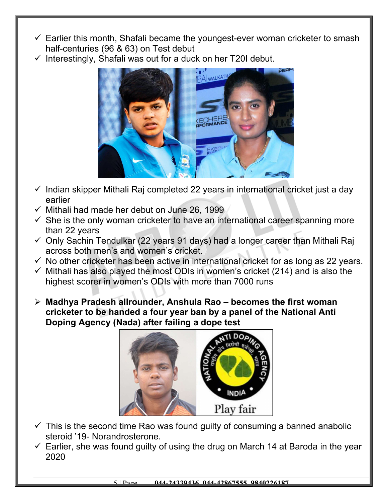- $\checkmark$  Earlier this month, Shafali became the youngest-ever woman cricketer to smash half-centuries (96 & 63) on Test debut
- $\checkmark$  Interestingly, Shafali was out for a duck on her T20I debut.



- $\checkmark$  Indian skipper Mithali Raj completed 22 years in international cricket just a day earlier
- $\checkmark$  Mithali had made her debut on June 26, 1999
- $\checkmark$  She is the only woman cricketer to have an international career spanning more than 22 years
- $\checkmark$  Only Sachin Tendulkar (22 years 91 days) had a longer career than Mithali Raj across both men's and women's cricket.
- $\checkmark$  No other cricketer has been active in international cricket for as long as 22 years.
- $\checkmark$  Mithali has also played the most ODIs in women's cricket (214) and is also the highest scorer in women's ODIs with more than 7000 runs
- **Madhya Pradesh allrounder, Anshula Rao becomes the first woman cricketer to be handed a four year ban by a panel of the National Anti Doping Agency (Nada) after failing a dope test**



- $\checkmark$  This is the second time Rao was found guilty of consuming a banned anabolic steroid '19- Norandrosterone.
- $\checkmark$  Earlier, she was found quilty of using the drug on March 14 at Baroda in the year 2020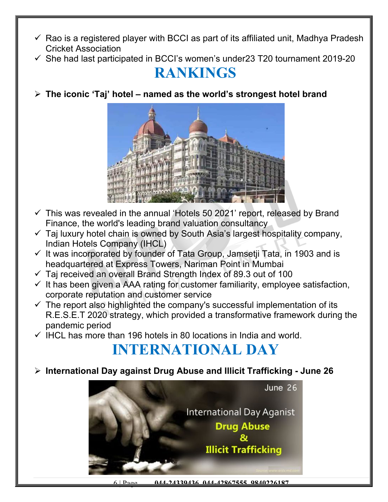- $\checkmark$  Rao is a registered player with BCCI as part of its affiliated unit, Madhya Pradesh Cricket Association
- $\checkmark$  She had last participated in BCCI's women's under23 T20 tournament 2019-20

#### **RANKINGS**

**The iconic 'Taj' hotel – named as the world's strongest hotel brand**



- $\checkmark$  This was revealed in the annual 'Hotels 50 2021' report, released by Brand Finance, the world's leading brand valuation consultancy
- $\checkmark$  Taj luxury hotel chain is owned by South Asia's largest hospitality company, Indian Hotels Company (IHCL)
- $\checkmark$  It was incorporated by founder of Tata Group, Jamsetii Tata, in 1903 and is headquartered at Express Towers, Nariman Point in Mumbai
- $\checkmark$  Taj received an overall Brand Strength Index of 89.3 out of 100
- $\checkmark$  It has been given a AAA rating for customer familiarity, employee satisfaction, corporate reputation and customer service
- $\checkmark$  The report also highlighted the company's successful implementation of its R.E.S.E.T 2020 strategy, which provided a transformative framework during the pandemic period
- $\checkmark$  IHCL has more than 196 hotels in 80 locations in India and world.

### **INTERNATIONAL DAY**

**International Day against Drug Abuse and Illicit Trafficking - June 26**